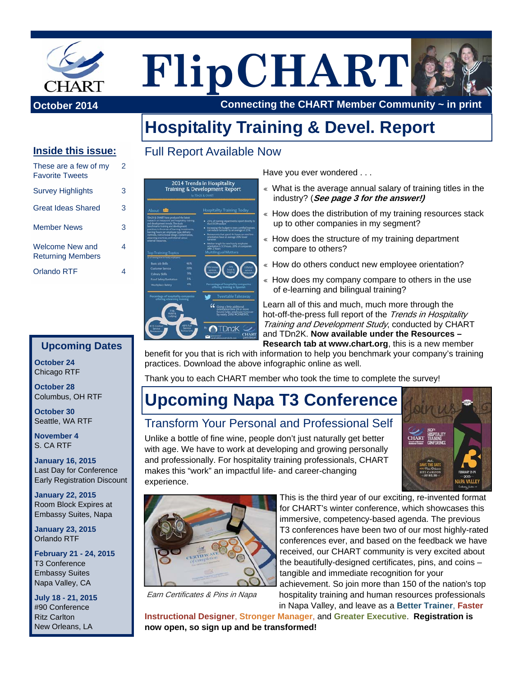

# **FlipCHART**

**October 2014 Connecting the CHART Member Community ~ in print**

## **Hospitality Training & Devel. Report**

#### **Inside this issue:**

| These are a few of my<br><b>Favorite Tweets</b>    | 2 |
|----------------------------------------------------|---|
| <b>Survey Highlights</b>                           | 3 |
| <b>Great Ideas Shared</b>                          | 3 |
| <b>Member News</b>                                 | 3 |
| <b>Welcome New and</b><br><b>Returning Members</b> | 4 |
| <b>Orlando RTF</b>                                 |   |

#### **Upcoming Dates**

**October 24**  Chicago RTF

**October 28**  Columbus, OH RTF

**October 30**  Seattle, WA RTF

**November 4**  S. CA RTF

**January 16, 2015**  Last Day for Conference Early Registration Discount

**January 22, 2015**  Room Block Expires at Embassy Suites, Napa

**January 23, 2015**  Orlando RTF

**February 21 - 24, 2015**  T3 Conference Embassy Suites Napa Valley, CA

**July 18 - 21, 2015**  #90 Conference Ritz Carlton New Orleans, LA

### Full Report Available Now



Have you ever wondered . . .

- « What is the average annual salary of training titles in the industry? (**See page 3 for the answer!)**
- « How does the distribution of my training resources stack up to other companies in my segment?
- $*$  How does the structure of my training department compare to others?
- « How do others conduct new employee orientation?
- « How does my company compare to others in the use of e-learning and bilingual training?

Learn all of this and much, much more through the hot-off-the-press full report of the Trends in Hospitality Training and Development Study, conducted by CHART and TDn2K. **[Now available under the Resources –](http://chart.org/resources/research/)  Research tab at www.chart.org**, this is a new member

benefit for you that is rich with information to help you benchmark your company's training practices. Download the above infographic online as well.

Thank you to each CHART member who took the time to complete the survey!

## **Upcoming Napa T3 Conference**

### Transform Your Personal and Professional Self

Unlike a bottle of fine wine, people don't just naturally get better with age. We have to work at developing and growing personally and professionally. For hospitality training professionals, CHART makes this "work" an impactful life- and career-changing experience.





Earn Certificates & Pins in Napa

This is the third year of our exciting, re-invented format for CHART's winter conference, which showcases this immersive, competency-based agenda. The previous T3 conferences have been two of our most highly-rated conferences ever, and based on the feedback we have received, our CHART community is very excited about the beautifully-designed certificates, pins, and coins – tangible and immediate recognition for your achievement. So join more than 150 of the nation's top

hospitality training and human resources professionals in Napa Valley, and leave as a **Better Trainer**, **Faster** 

**Instructional Designer**, **Stronger Manager**, and **Greater Executive**. **Registration is now open, so [sign up](http://www.cvent.com/events/t3-napa-the-learning-forum-for-hospitality-training/event-summary-dcf41247c1c74eb9a08088f9e8816c51.aspx) and be transformed!**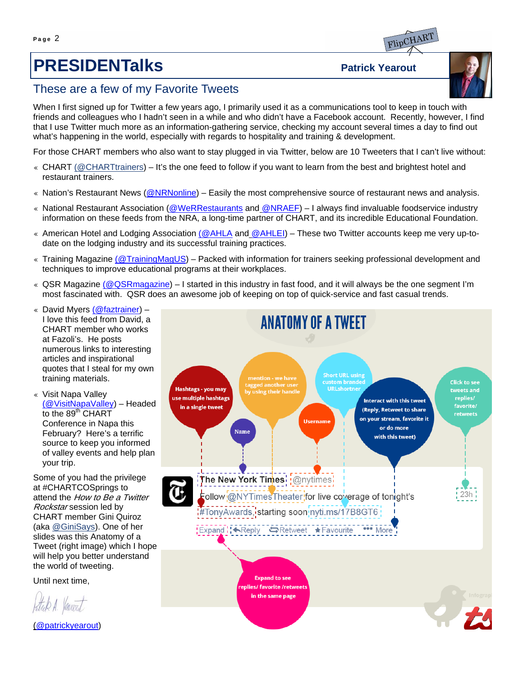## **PRESIDENTalks** Patrick Yearout



#### These are a few of my Favorite Tweets

When I first signed up for Twitter a few years ago, I primarily used it as a communications tool to keep in touch with friends and colleagues who I hadn't seen in a while and who didn't have a Facebook account. Recently, however, I find that I use Twitter much more as an information-gathering service, checking my account several times a day to find out what's happening in the world, especially with regards to hospitality and training & development.

For those CHART members who also want to stay plugged in via Twitter, below are 10 Tweeters that I can't live without:

- ♦ CHART [\(@CHARTtrainers](www.twitter.com/charttrainers)) It's the one feed to follow if you want to learn from the best and brightest hotel and restaurant trainers.
- « Nation's Restaurant News [\(@NRNonline\)](https://twitter.com/NRNonline) Easily the most comprehensive source of restaurant news and analysis.
- « National Restaurant Association [\(@WeRRestaurants](https://twitter.com/WeRRestaurants) and [@NRAEF\)](https://twitter.com/NRAEF) I always find invaluable foodservice industry information on these feeds from the NRA, a long-time partner of CHART, and its incredible Educational Foundation.
- ♦ American Hotel and Lodging Association ([@AHLA](https://twitter.com/ahla) and [@AHLEI\)](https://twitter.com/AHLEI) These two Twitter accounts keep me very up-todate on the lodging industry and its successful training practices.
- ♦ Training Magazine [\(@TrainingMagUS\)](https://twitter.com/TrainingMagUS) Packed with information for trainers seeking professional development and techniques to improve educational programs at their workplaces.
- $\&$  QSR Magazine ([@QSRmagazine\)](https://twitter.com/QSRmagazine) I started in this industry in fast food, and it will always be the one segment I'm most fascinated with. QSR does an awesome job of keeping on top of quick-service and fast casual trends.
- « David Myers [\(@faztrainer](https://twitter.com/faztrainer)) I love this feed from David, a CHART member who works at Fazoli's. He posts numerous links to interesting articles and inspirational quotes that I steal for my own training materials.
- « Visit Napa Valley [\(@VisitNapaValley](https://twitter.com/VisitNapaValley)) – Headed to the 89<sup>th</sup> CHART Conference in Napa this February? Here's a terrific source to keep you informed of valley events and help plan your trip.

Some of you had the privilege at #CHARTCOSprings to attend the How to Be a Twitter Rockstar session led by CHART member Gini Quiroz (aka [@GiniSays](https://twitter.com/GiniSays)). One of her slides was this Anatomy of a Tweet (right image) which I hope will help you better understand the world of tweeting.

Until next time,

ttak A. Varent

[\(@patrickyearout\)](https://twitter.com/patrickyearout) 

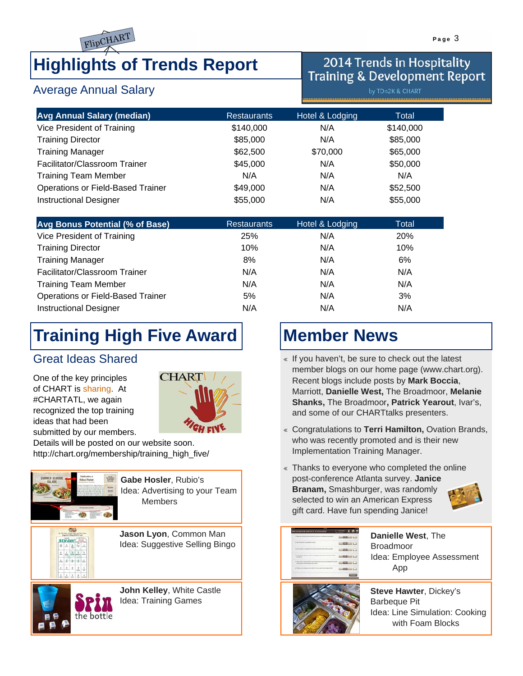

Average Annual Salary

## **Highlights of Trends Report**

## 2014 Trends in Hospitality **Training & Development Report**

by TDn2K & CHART

| <b>Avg Annual Salary (median)</b> | <b>Restaurants</b> | Hotel & Lodging | Total     |
|-----------------------------------|--------------------|-----------------|-----------|
| Vice President of Training        | \$140,000          | N/A             | \$140,000 |
| <b>Training Director</b>          | \$85,000           | N/A             | \$85,000  |
| <b>Training Manager</b>           | \$62,500           | \$70,000        | \$65,000  |
| Facilitator/Classroom Trainer     | \$45,000           | N/A             | \$50,000  |
| <b>Training Team Member</b>       | N/A                | N/A             | N/A       |
| Operations or Field-Based Trainer | \$49,000           | N/A             | \$52,500  |
| <b>Instructional Designer</b>     | \$55,000           | N/A             | \$55,000  |

| Avg Bonus Potential (% of Base)   | <b>Restaurants</b> | Hotel & Lodging | Total      |
|-----------------------------------|--------------------|-----------------|------------|
| Vice President of Training        | <b>25%</b>         | N/A             | <b>20%</b> |
| <b>Training Director</b>          | 10%                | N/A             | 10%        |
| <b>Training Manager</b>           | 8%                 | N/A             | 6%         |
| Facilitator/Classroom Trainer     | N/A                | N/A             | N/A        |
| <b>Training Team Member</b>       | N/A                | N/A             | N/A        |
| Operations or Field-Based Trainer | 5%                 | N/A             | 3%         |
| <b>Instructional Designer</b>     | N/A                | N/A             | N/A        |

# **Training High Five Award**

#### Great Ideas Shared

One of the key principles of CHART is sharing. At #CHARTATL, we again recognized the top training ideas that had been submitted by our members.



Details will be posted on our website soon. [http://chart.org/membership/training\\_high\\_five/](http://chart.org/membership/training_high_five/)



the bottle

 $-1 - 1$ 

**Gabe Hosler**, Rubio's Idea: Advertising to your Team Members

**Jason Lyon**, Common Man Idea: Suggestive Selling Bingo

**John Kelley**, White Castle Idea: Training Games

## **Member News**

- « If you haven't, be sure to check out the latest member blogs on our home page (www.chart.org). Recent blogs include posts by **Mark Boccia**, Marriott, **Danielle West,** The Broadmoor, **Melanie Shanks,** The Broadmoor**, Patrick Yearout**, Ivar's, and some of our CHARTtalks presenters.
- ♦ Congratulations to **Terri Hamilton,** Ovation Brands, who was recently promoted and is their new Implementation Training Manager.
- « Thanks to everyone who completed the online post-conference Atlanta survey. **Janice Branam,** Smashburger, was randomly selected to win an American Express gift card. Have fun spending Janice!



| 1. Now can connect context and post this point is enabled.                         |  |
|------------------------------------------------------------------------------------|--|
| <b><i>CONSIGNORS</i></b><br>time with grant                                        |  |
|                                                                                    |  |
|                                                                                    |  |
| 5. Intert silker is concreted from any dead<br>A this party will enjoyed a parties |  |
| A Tallac at it classes just<br><b>An Free Ban</b>                                  |  |

**Danielle West**, The Broadmoor Idea: Employee Assessment App



**Steve Hawter**, Dickey's Barbeque Pit Idea: Line Simulation: Cooking with Foam Blocks